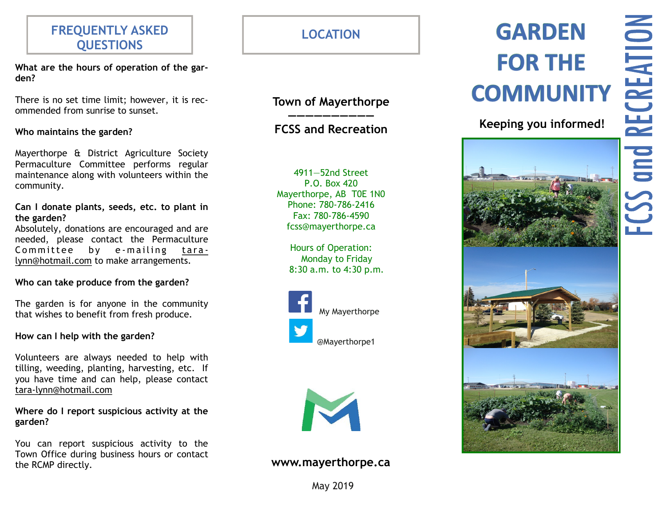# **FREQUENTLY ASKED QUESTIONS**

**What are the hours of operation of the garden?**

There is no set time limit; however, it is recommended from sunrise to sunset.

**Who maintains the garden?**

Mayerthorpe & District Agriculture Society Permaculture Committee performs regular maintenance along with volunteers within the community.

**Can I donate plants, seeds, etc. to plant in the garden?**

Absolutely, donations are encouraged and are needed, please contact the Permaculture Committee by e-mailing taralynn@hotmail.com to make arrangements.

## **Who can take produce from the garden?**

The garden is for anyone in the community that wishes to benefit from fresh produce.

## **How can I help with the garden?**

Volunteers are always needed to help with tilling, weeding, planting, harvesting, etc. If you have time and can help, please contact tara-lynn@hotmail.com

**Where do I report suspicious activity at the garden?**

You can report suspicious activity to the Town Office during business hours or contact the RCMP directly. **www.mayerthorpe.ca**

**LOCATION**

## **Town of Mayerthorpe ——————————**

## **FCSS and Recreation**

4911—52nd Street P.O. Box 420 Mayerthorpe, AB T0E 1N0 Phone: 780-786-2416 Fax: 780-786-4590 fcss@mayerthorpe.ca

> Hours of Operation: Monday to Friday 8:30 a.m. to 4:30 p.m.





May 2019

# **GARDEN FOR THE COMMUNITY**